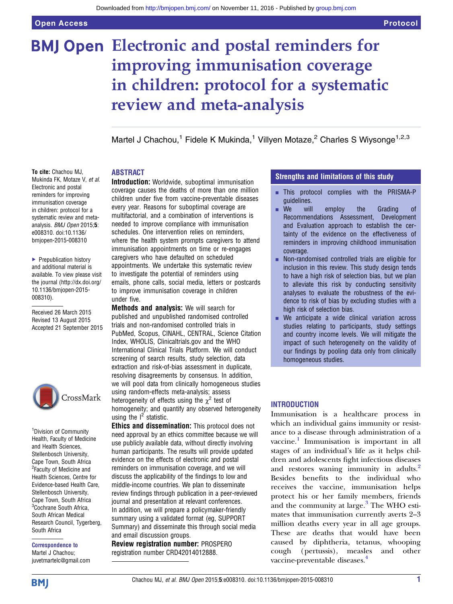# **BMJ Open Electronic and postal reminders for** improving immunisation coverage in children: protocol for a systematic review and meta-analysis

Martel J Chachou,<sup>1</sup> Fidele K Mukinda,<sup>1</sup> Villyen Motaze,<sup>2</sup> Charles S Wiysonge<sup>1,2,3</sup>

# ABSTRACT

To cite: Chachou MJ, Mukinda FK, Motaze V, et al. Electronic and postal reminders for improving immunisation coverage in children: protocol for a systematic review and metaanalysis. BMJ Open 2015;5: e008310. doi:10.1136/ bmjopen-2015-008310

▶ Prepublication history and additional material is available. To view please visit the journal [\(http://dx.doi.org/](http://dx.doi.org/10.1136/bmjopen-2015-008310) [10.1136/bmjopen-2015-](http://dx.doi.org/10.1136/bmjopen-2015-008310) [008310\)](http://dx.doi.org/10.1136/bmjopen-2015-008310).

Received 26 March 2015 Revised 13 August 2015 Accepted 21 September 2015



<sup>1</sup> Division of Community Health, Faculty of Medicine and Health Sciences, Stellenbosch University, Cape Town, South Africa <sup>2</sup> Faculty of Medicine and Health Sciences, Centre for Evidence-based Health Care, Stellenbosch University, Cape Town, South Africa <sup>3</sup>Cochrane South Africa, South African Medical Research Council, Tygerberg, South Africa

Correspondence to Martel J Chachou; juvetmartelc@gmail.com Introduction: Worldwide, suboptimal immunisation coverage causes the deaths of more than one million children under five from vaccine-preventable diseases every year. Reasons for suboptimal coverage are multifactorial, and a combination of interventions is needed to improve compliance with immunisation schedules. One intervention relies on reminders, where the health system prompts caregivers to attend immunisation appointments on time or re-engages caregivers who have defaulted on scheduled appointments. We undertake this systematic review to investigate the potential of reminders using emails, phone calls, social media, letters or postcards to improve immunisation coverage in children under five.

Methods and analysis: We will search for published and unpublished randomised controlled trials and non-randomised controlled trials in PubMed, Scopus, CINAHL, CENTRAL, Science Citation Index, WHOLIS, Clinicaltrials.gov and the WHO International Clinical Trials Platform. We will conduct screening of search results, study selection, data extraction and risk-of-bias assessment in duplicate, resolving disagreements by consensus. In addition, we will pool data from clinically homogeneous studies using random-effects meta-analysis; assess heterogeneity of effects using the  $\chi^2$  test of homogeneity; and quantify any observed heterogeneity using the  $I^2$  statistic.

Ethics and dissemination: This protocol does not need approval by an ethics committee because we will use publicly available data, without directly involving human participants. The results will provide updated evidence on the effects of electronic and postal reminders on immunisation coverage, and we will discuss the applicability of the findings to low and middle-income countries. We plan to disseminate review findings through publication in a peer-reviewed journal and presentation at relevant conferences. In addition, we will prepare a policymaker-friendly summary using a validated format (eg, SUPPORT Summary) and disseminate this through social media and email discussion groups.

Review registration number: PROSPERO registration number CRD42014012888.

# Strengths and limitations of this study

- **· This protocol complies with the PRISMA-P** guidelines.
- **E** We will employ the Grading of Recommendations Assessment, Development and Evaluation approach to establish the certainty of the evidence on the effectiveness of reminders in improving childhood immunisation coverage.
- Non-randomised controlled trials are eligible for inclusion in this review. This study design tends to have a high risk of selection bias, but we plan to alleviate this risk by conducting sensitivity analyses to evaluate the robustness of the evidence to risk of bias by excluding studies with a high risk of selection bias.
- We anticipate a wide clinical variation across studies relating to participants, study settings and country income levels. We will mitigate the impact of such heterogeneity on the validity of our findings by pooling data only from clinically homogeneous studies.

# **INTRODUCTION**

Immunisation is a healthcare process in which an individual gains immunity or resistance to a disease through administration of a vaccine.<sup>[1](#page-4-0)</sup> Immunisation is important in all stages of an individual's life as it helps children and adolescents fight infectious diseases and restores waning immunity in adults.<sup>2</sup> Besides benefits to the individual who receives the vaccine, immunisation helps protect his or her family members, friends and the community at large. $3$  The WHO estimates that immunisation currently averts 2–3 million deaths every year in all age groups. These are deaths that would have been caused by diphtheria, tetanus, whooping cough (pertussis), measles and other vaccine-preventable diseases.<sup>4</sup>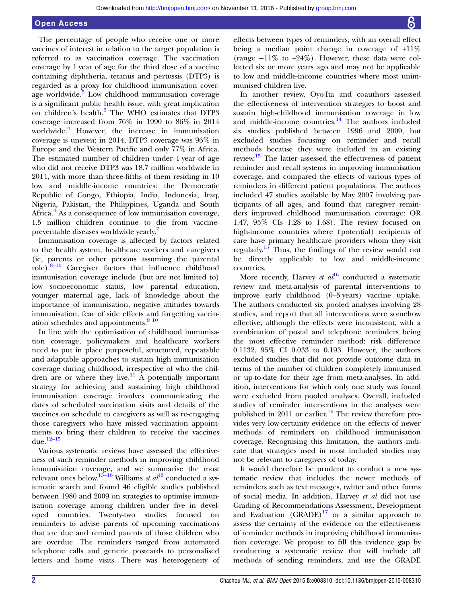### Open Access

The percentage of people who receive one or more vaccines of interest in relation to the target population is referred to as vaccination coverage. The vaccination coverage by 1 year of age for the third dose of a vaccine containing diphtheria, tetanus and pertussis (DTP3) is regarded as a proxy for childhood immunisation cover-age worldwide.<sup>[5](#page-4-0)</sup> Low childhood immunisation coverage is a significant public health issue, with great implication on children's health.[6](#page-4-0) The WHO estimates that DTP3 coverage increased from 76% in 1990 to 86% in 2014 worldwide.<sup>[4](#page-4-0)</sup> However, the increase in immunisation coverage is uneven; in 2014, DTP3 coverage was 96% in Europe and the Western Pacific and only 77% in Africa. The estimated number of children under 1 year of age who did not receive DTP3 was 18.7 million worldwide in 2014, with more than three-fifths of them residing in 10 low and middle-income countries: the Democratic Republic of Congo, Ethiopia, India, Indonesia, Iraq, Nigeria, Pakistan, the Philippines, Uganda and South Africa.<sup>[4](#page-4-0)</sup> As a consequence of low immunisation coverage, 1.5 million children continue to die from vaccinepreventable diseases worldwide yearly[.7](#page-4-0)

Immunisation coverage is affected by factors related to the health system, healthcare workers and caregivers (ie, parents or other persons assuming the parental role).8–[10](#page-4-0) Caregiver factors that influence childhood immunisation coverage include (but are not limited to) low socioeconomic status, low parental education, younger maternal age, lack of knowledge about the importance of immunisation, negative attitudes towards immunisation, fear of side effects and forgetting vaccination schedules and appointments.<sup>9</sup> <sup>10</sup>

In line with the optimisation of childhood immunisation coverage, policymakers and healthcare workers need to put in place purposeful, structured, repeatable and adaptable approaches to sustain high immunisation coverage during childhood, irrespective of who the chil-dren are or where they live.<sup>[11](#page-4-0)</sup> A potentially important strategy for achieving and sustaining high childhood immunisation coverage involves communicating the dates of scheduled vaccination visits and details of the vaccines on schedule to caregivers as well as re-engaging those caregivers who have missed vaccination appointments to bring their children to receive the vaccines due. $12-15$  $12-15$ 

Various systematic reviews have assessed the effectiveness of such reminder methods in improving childhood immunisation coverage, and we summarise the most relevant ones below.<sup>[13](#page-4-0)–16</sup> Williams *et al*<sup>13</sup> conducted a systematic search and found 46 eligible studies published between 1980 and 2009 on strategies to optimise immunisation coverage among children under five in developed countries. Twenty-two studies focused on reminders to advise parents of upcoming vaccinations that are due and remind parents of those children who are overdue. The reminders ranged from automated telephone calls and generic postcards to personalised letters and home visits. There was heterogeneity of

effects between types of reminders, with an overall effect being a median point change in coverage of +11% (range  $-11\%$  to  $+24\%$ ). However, these data were collected six or more years ago and may not be applicable to low and middle-income countries where most unimmunised children live.

In another review, Oyo-Ita and coauthors assessed the effectiveness of intervention strategies to boost and sustain high-childhood immunisation coverage in low and middle-income countries. $14$  The authors included six studies published between 1996 and 2009, but excluded studies focusing on reminder and recall methods because they were included in an existing review.[15](#page-4-0) The latter assessed the effectiveness of patient reminder and recall systems in improving immunisation coverage, and compared the effects of various types of reminders in different patient populations. The authors included 47 studies available by May 2007 involving participants of all ages, and found that caregiver reminders improved childhood immunisation coverage: OR 1.47, 95% CIs 1.28 to 1.68). The review focused on high-income countries where (potential) recipients of care have primary healthcare providers whom they visit regularly[.15](#page-4-0) Thus, the findings of the review would not be directly applicable to low and middle-income countries.

More recently, Harvey et  $al^{16}$  $al^{16}$  $al^{16}$  conducted a systematic review and meta-analysis of parental interventions to improve early childhood (0–5 years) vaccine uptake. The authors conducted six pooled analyses involving 28 studies, and report that all interventions were somehow effective, although the effects were inconsistent, with a combination of postal and telephone reminders being the most effective reminder method: risk difference 0.1132, 95% CI 0.033 to 0.193. However, the authors excluded studies that did not provide outcome data in terms of the number of children completely immunised or up-to-date for their age from meta-analyses. In addition, interventions for which only one study was found were excluded from pooled analyses. Overall, included studies of reminder interventions in the analyses were published in 2011 or earlier.<sup>[16](#page-4-0)</sup> The review therefore provides very low-certainty evidence on the effects of newer methods of reminders on childhood immunisation coverage. Recognising this limitation, the authors indicate that strategies used in most included studies may not be relevant to caregivers of today.

It would therefore be prudent to conduct a new systematic review that includes the newer methods of reminders such as text messages, twitter and other forms of social media. In addition, Harvey et al did not use Grading of Recommendations Assessment, Development and Evaluation  $(GRADE)^{17}$  $(GRADE)^{17}$  $(GRADE)^{17}$  or a similar approach to assess the certainty of the evidence on the effectiveness of reminder methods in improving childhood immunisation coverage. We propose to fill this evidence gap by conducting a systematic review that will include all methods of sending reminders, and use the GRADE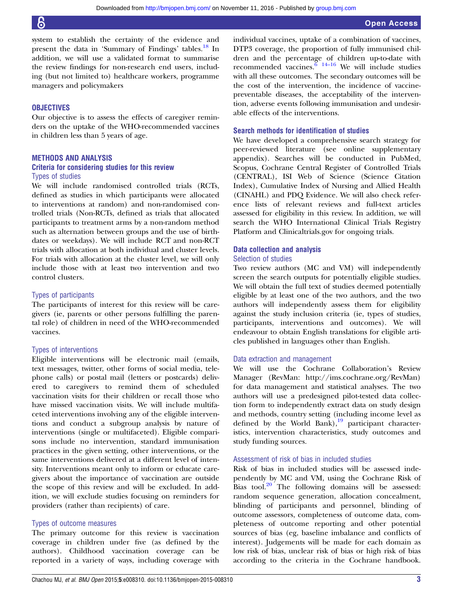system to establish the certainty of the evidence and present the data in 'Summary of Findings' tables.<sup>[18](#page-4-0)</sup> In addition, we will use a validated format to summarise the review findings for non-research end users, including (but not limited to) healthcare workers, programme managers and policymakers

# **OBJECTIVES**

Our objective is to assess the effects of caregiver reminders on the uptake of the WHO-recommended vaccines in children less than 5 years of age.

#### METHODS AND ANALYSIS

# Criteria for considering studies for this review

# Types of studies

We will include randomised controlled trials (RCTs, defined as studies in which participants were allocated to interventions at random) and non-randomised controlled trials (Non-RCTs, defined as trials that allocated participants to treatment arms by a non-random method such as alternation between groups and the use of birthdates or weekdays). We will include RCT and non-RCT trials with allocation at both individual and cluster levels. For trials with allocation at the cluster level, we will only include those with at least two intervention and two control clusters.

## Types of participants

The participants of interest for this review will be caregivers (ie, parents or other persons fulfilling the parental role) of children in need of the WHO-recommended vaccines.

#### Types of interventions

Eligible interventions will be electronic mail (emails, text messages, twitter, other forms of social media, telephone calls) or postal mail (letters or postcards) delivered to caregivers to remind them of scheduled vaccination visits for their children or recall those who have missed vaccination visits. We will include multifaceted interventions involving any of the eligible interventions and conduct a subgroup analysis by nature of interventions (single or multifaceted). Eligible comparisons include no intervention, standard immunisation practices in the given setting, other interventions, or the same interventions delivered at a different level of intensity. Interventions meant only to inform or educate caregivers about the importance of vaccination are outside the scope of this review and will be excluded. In addition, we will exclude studies focusing on reminders for providers (rather than recipients) of care.

#### Types of outcome measures

The primary outcome for this review is vaccination coverage in children under five (as defined by the authors). Childhood vaccination coverage can be reported in a variety of ways, including coverage with individual vaccines, uptake of a combination of vaccines, DTP3 coverage, the proportion of fully immunised children and the percentage of children up-to-date with recommended vaccines. $\frac{6}{14-16}$  We will include studies with all these outcomes. The secondary outcomes will be the cost of the intervention, the incidence of vaccinepreventable diseases, the acceptability of the intervention, adverse events following immunisation and undesirable effects of the interventions.

#### Search methods for identification of studies

We have developed a comprehensive search strategy for peer-reviewed literature (see online supplementary appendix). Searches will be conducted in PubMed, Scopus, Cochrane Central Register of Controlled Trials (CENTRAL), ISI Web of Science (Science Citation Index), Cumulative Index of Nursing and Allied Health (CINAHL) and PDQ Evidence. We will also check reference lists of relevant reviews and full-text articles assessed for eligibility in this review. In addition, we will search the WHO International Clinical Trials Registry Platform and Clinicaltrials.gov for ongoing trials.

#### Data collection and analysis

#### Selection of studies

Two review authors (MC and VM) will independently screen the search outputs for potentially eligible studies. We will obtain the full text of studies deemed potentially eligible by at least one of the two authors, and the two authors will independently assess them for eligibility against the study inclusion criteria (ie, types of studies, participants, interventions and outcomes). We will endeavour to obtain English translations for eligible articles published in languages other than English.

#### Data extraction and management

We will use the Cochrane Collaboration's Review Manager (RevMan:<http://ims.cochrane.org/RevMan>) for data management and statistical analyses. The two authors will use a predesigned pilot-tested data collection form to independently extract data on study design and methods, country setting (including income level as defined by the World Bank), $\frac{9}{19}$  $\frac{9}{19}$  $\frac{9}{19}$  participant characteristics, intervention characteristics, study outcomes and study funding sources.

#### Assessment of risk of bias in included studies

Risk of bias in included studies will be assessed independently by MC and VM, using the Cochrane Risk of Bias tool. $20$  The following domains will be assessed: random sequence generation, allocation concealment, blinding of participants and personnel, blinding of outcome assessors, completeness of outcome data, completeness of outcome reporting and other potential sources of bias (eg, baseline imbalance and conflicts of interest). Judgements will be made for each domain as low risk of bias, unclear risk of bias or high risk of bias according to the criteria in the Cochrane handbook.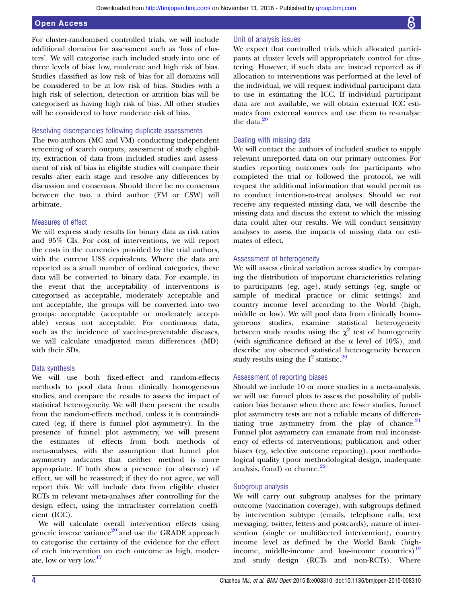### Open Access

For cluster-randomised controlled trials, we will include additional domains for assessment such as 'loss of clusters'. We will categorise each included study into one of three levels of bias: low, moderate and high risk of bias. Studies classified as low risk of bias for all domains will be considered to be at low risk of bias. Studies with a high risk of selection, detection or attrition bias will be categorised as having high risk of bias. All other studies will be considered to have moderate risk of bias.

#### Resolving discrepancies following duplicate assessments

The two authors (MC and VM) conducting independent screening of search outputs, assessment of study eligibility, extraction of data from included studies and assessment of risk of bias in eligible studies will compare their results after each stage and resolve any differences by discussion and consensus. Should there be no consensus between the two, a third author (FM or CSW) will arbitrate.

#### Measures of effect

We will express study results for binary data as risk ratios and 95% CIs. For cost of interventions, we will report the costs in the currencies provided by the trial authors, with the current US\$ equivalents. Where the data are reported as a small number of ordinal categories, these data will be converted to binary data. For example, in the event that the acceptability of interventions is categorised as acceptable, moderately acceptable and not acceptable, the groups will be converted into two groups: acceptable (acceptable or moderately acceptable) versus not acceptable. For continuous data, such as the incidence of vaccine-preventable diseases, we will calculate unadjusted mean differences (MD) with their SDs.

#### Data synthesis

We will use both fixed-effect and random-effects methods to pool data from clinically homogeneous studies, and compare the results to assess the impact of statistical heterogeneity. We will then present the results from the random-effects method, unless it is contraindicated (eg, if there is funnel plot asymmetry). In the presence of funnel plot asymmetry, we will present the estimates of effects from both methods of meta-analyses, with the assumption that funnel plot asymmetry indicates that neither method is more appropriate. If both show a presence (or absence) of effect, we will be reassured; if they do not agree, we will report this. We will include data from eligible cluster RCTs in relevant meta-analyses after controlling for the design effect, using the intracluster correlation coefficient (ICC).

We will calculate overall intervention effects using generic inverse variance $^{20}$  $^{20}$  $^{20}$  and use the GRADE approach to categorise the certainty of the evidence for the effect of each intervention on each outcome as high, moderate, low or very low.<sup>17</sup>

# Unit of analysis issues

We expect that controlled trials which allocated participants at cluster levels will appropriately control for clustering. However, if such data are instead reported as if allocation to interventions was performed at the level of the individual, we will request individual participant data to use in estimating the ICC. If individual participant data are not available, we will obtain external ICC estimates from external sources and use them to re-analyse the data. $20$ 

# Dealing with missing data

We will contact the authors of included studies to supply relevant unreported data on our primary outcomes. For studies reporting outcomes only for participants who completed the trial or followed the protocol, we will request the additional information that would permit us to conduct intention-to-treat analyses. Should we not receive any requested missing data, we will describe the missing data and discuss the extent to which the missing data could alter our results. We will conduct sensitivity analyses to assess the impacts of missing data on estimates of effect.

#### Assessment of heterogeneity

We will assess clinical variation across studies by comparing the distribution of important characteristics relating to participants (eg, age), study settings (eg, single or sample of medical practice or clinic settings) and country income level according to the World (high, middle or low). We will pool data from clinically homogeneous studies, examine statistical heterogeneity between study results using the  $\chi^2$  test of homogeneity (with significance defined at the  $\alpha$  level of 10%), and describe any observed statistical heterogeneity between study results using the  $I^2$  statistic.<sup>[20](#page-4-0)</sup>

#### Assessment of reporting biases

Should we include 10 or more studies in a meta-analysis, we will use funnel plots to assess the possibility of publication bias because when there are fewer studies, funnel plot asymmetry tests are not a reliable means of differentiating true asymmetry from the play of chance. $21$ Funnel plot asymmetry can emanate from real inconsistency of effects of interventions; publication and other biases (eg, selective outcome reporting), poor methodological quality (poor methodological design, inadequate analysis, fraud) or chance. $22$ 

#### Subgroup analysis

We will carry out subgroup analyses for the primary outcome (vaccination coverage), with subgroups defined by intervention subtype (emails, telephone calls, text messaging, twitter, letters and postcards), nature of intervention (single or multifaceted intervention), country income level as defined by the World Bank (highincome, middle-income and low-income countries) $19$ and study design (RCTs and non-RCTs). Where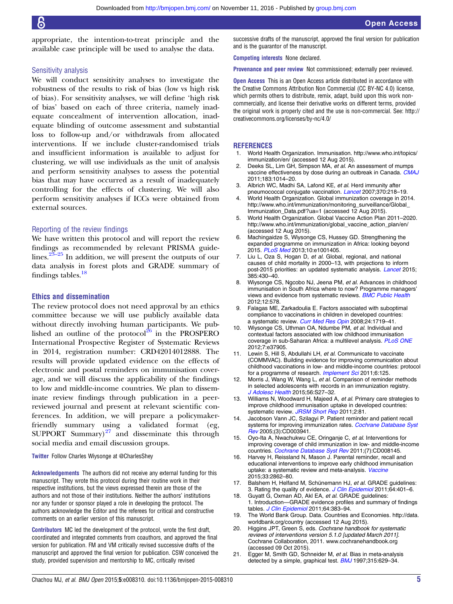<span id="page-4-0"></span>appropriate, the intention-to-treat principle and the available case principle will be used to analyse the data.

#### Sensitivity analysis

We will conduct sensitivity analyses to investigate the robustness of the results to risk of bias (low vs high risk of bias). For sensitivity analyses, we will define 'high risk of bias' based on each of three criteria, namely inadequate concealment of intervention allocation, inadequate blinding of outcome assessment and substantial loss to follow-up and/or withdrawals from allocated interventions. If we include cluster-randomised trials and insufficient information is available to adjust for clustering, we will use individuals as the unit of analysis and perform sensitivity analyses to assess the potential bias that may have occurred as a result of inadequately controlling for the effects of clustering. We will also perform sensitivity analyses if ICCs were obtained from external sources.

#### Reporting of the review findings

We have written this protocol and will report the review findings as recommended by relevant PRISMA guidelines. $2^{3-25}$  In addition, we will present the outputs of our data analysis in forest plots and GRADE summary of findings tables. $18$ 

#### Ethics and dissemination

The review protocol does not need approval by an ethics committee because we will use publicly available data without directly involving human participants. We published an outline of the protocol $^{26}$  $^{26}$  $^{26}$  in the PROSPERO International Prospective Register of Systematic Reviews in 2014, registration number: CRD42014012888. The results will provide updated evidence on the effects of electronic and postal reminders on immunisation coverage, and we will discuss the applicability of the findings to low and middle-income countries. We plan to disseminate review findings through publication in a peerreviewed journal and present at relevant scientific conferences. In addition, we will prepare a policymakerfriendly summary using a validated format (eg, SUPPORT Summary) $27$  and disseminate this through social media and email discussion groups.

#### Twitter Follow Charles Wiysonge at [@CharlesShey](http://twitter.com/CharlesShey)

Acknowledgements The authors did not receive any external funding for this manuscript. They wrote this protocol during their routine work in their respective institutions, but the views expressed therein are those of the authors and not those of their institutions. Neither the authors' institutions nor any funder or sponsor played a role in developing the protocol. The authors acknowledge the Editor and the referees for critical and constructive comments on an earlier version of this manuscript.

Contributors MC led the development of the protocol, wrote the first draft, coordinated and integrated comments from coauthors, and approved the final version for publication. FM and VM critically revised successive drafts of the manuscript and approved the final version for publication. CSW conceived the study, provided supervision and mentorship to MC, critically revised

successive drafts of the manuscript, approved the final version for publication and is the guarantor of the manuscript.

Competing interests None declared.

Provenance and peer review Not commissioned; externally peer reviewed.

Open Access This is an Open Access article distributed in accordance with the Creative Commons Attribution Non Commercial (CC BY-NC 4.0) license, which permits others to distribute, remix, adapt, build upon this work noncommercially, and license their derivative works on different terms, provided the original work is properly cited and the use is non-commercial. See: [http://](http://creativecommons.org/licenses/by-nc/4.0/) [creativecommons.org/licenses/by-nc/4.0/](http://creativecommons.org/licenses/by-nc/4.0/)

#### **REFERENCES**

- 1. World Health Organization. Immunisation. [http://www.who.int/topics/](http://www.who.int/topics/immunization/en/) [immunization/en/](http://www.who.int/topics/immunization/en/) (accessed 12 Aug 2015).
- 2. Deeks SL, Lim GH, Simpson MA, et al. An assessment of mumps vaccine effectiveness by dose during an outbreak in Canada. [CMAJ](http://dx.doi.org/10.1503/cmaj.101371) 2011;183:1014–20.
- 3. Albrich WC, Madhi SA, Lafond KE, et al. Herd immunity after pneumococcal conjugate vaccination. [Lancet](http://dx.doi.org/10.1016/S0140-6736(07)61119-2) 2007;370:218-19.
- 4. World Health Organization. Global immunization coverage in 2014. [http://www.who.int/immunization/monitoring\\_surveillance/Global\\_](http://www.who.int/immunization/monitoring_surveillance/Global_Immunization_Data.pdf?ua=1) [Immunization\\_Data.pdf?ua=1](http://www.who.int/immunization/monitoring_surveillance/Global_Immunization_Data.pdf?ua=1) (accessed 12 Aug 2015).
- 5. World Health Organization. Global Vaccine Action Plan 2011–2020. [http://www.who.int/immunization/global\\_vaccine\\_action\\_plan/en/](http://www.who.int/immunization/global_vaccine_action_plan/en/) (accessed 12 Aug 2015).
- 6. Machingaidze S, Wiysonge CS, Hussey GD. Strengthening the expanded programme on immunization in Africa: looking beyond 2015. [PLoS Med](http://dx.doi.org/10.1371/journal.pmed.1001405) 2013;10:e1001405.
- 7. Liu L, Oza S, Hogan D, et al. Global, regional, and national causes of child mortality in 2000–13, with projections to inform post-2015 priorities: an updated systematic analysis. [Lancet](http://dx.doi.org/10.1016/S0140-6736(14)61698-6) 2015; 385:430–40.
- 8. Wiysonge CS, Ngcobo NJ, Jeena PM, et al. Advances in childhood immunisation in South Africa where to now? Programme managers' views and evidence from systematic reviews. [BMC Public Health](http://dx.doi.org/10.1186/1471-2458-12-578) 2012;12:578.
- 9. Falagas ME, Zarkadoulia E. Factors associated with suboptimal compliance to vaccinations in children in developed countries: a systematic review. [Curr Med Res Opin](http://dx.doi.org/10.1185/03007990802085692) 2008;24:1719-41.
- 10. Wiysonge CS, Uthman OA, Ndumbe PM, et al. Individual and contextual factors associated with low childhood immunisation coverage in sub-Saharan Africa: a multilevel analysis. [PLoS ONE](http://dx.doi.org/10.1371/journal.pone.0037905) 2012;7:e37905.
- 11. Lewin S, Hill S, Abdullahi LH, et al. Communicate to vaccinate (COMMVAC). Building evidence for improving communication about childhood vaccinations in low- and middle-income countries: protocol for a programme of research. [Implement Sci](http://dx.doi.org/10.1186/1748-5908-6-125) 2011;6:125.
- 12. Morris J, Wang W, Wang L, et al. Comparison of reminder methods in selected adolescents with records in an immunization registry. [J Adolesc Health](http://dx.doi.org/10.1016/j.jadohealth.2015.01.010) 2015;56:S27–32.
- 13. Williams N, Woodward H, Majeed A, et al. Primary care strategies to improve childhood immunisation uptake in developed countries: systematic review. [JRSM Short Rep](http://dx.doi.org/10.1258/shorts.2011.011112) 2011;2:81.
- 14. Jacobson Vann JC, Szilagyi P. Patient reminder and patient recall systems for improving immunization rates. [Cochrane Database Syst](http://dx.doi.org/10.1002/14651858.CD003941.pub2) [Rev](http://dx.doi.org/10.1002/14651858.CD003941.pub2) 2005;(3):CD003941.
- 15. Oyo-Ita A, Nwachukwu CE, Oringanje C, et al. Interventions for improving coverage of child immunization in low- and middle-income countries. [Cochrane Database Syst Rev](http://dx.doi.org/10.1002/14651858.CD008145.pub2) 2011;(7):CD008145.
- 16. Harvey H, Reissland N, Mason J. Parental reminder, recall and educational interventions to improve early childhood immunisation uptake: a systematic review and meta-analysis. [Vaccine](http://dx.doi.org/10.1016/j.vaccine.2015.04.085) 2015;33:2862–80.
- 17. Balshem H, Helfand M, Schünemann HJ, et al. GRADE guidelines: 3. Rating the quality of evidence. J [Clin Epidemiol](http://dx.doi.org/10.1016/j.jclinepi.2010.07.015) 2011;64:401-6.
- 18. Guyatt G, Oxman AD, Akl EA, et al. GRADE guidelines: 1. Introduction—GRADE evidence profiles and summary of findings tables. [J Clin Epidemiol](http://dx.doi.org/10.1016/j.jclinepi.2010.04.026) 2011;64:383-94.
- 19. The World Bank Group. Data. Countries and Economies. [http://data.](http://data.worldbank.org/country) [worldbank.org/country](http://data.worldbank.org/country) (accessed 12 Aug 2015).
- 20. Higgins JPT, Green S, eds. Cochrane handbook for systematic reviews of interventions version 5.1.0 [updated March 2011]. Cochrane Collaboration, 2011. www.cochranehandbook.org (accessed 09 Oct 2015).
- 21. Egger M, Smith GD, Schneider M, et al. Bias in meta-analysis detected by a simple, graphical test. **[BMJ](http://dx.doi.org/10.1136/bmj.315.7109.629)** 1997;315:629-34.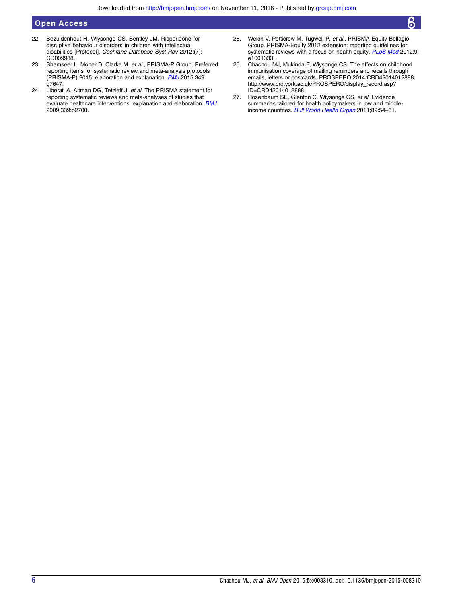# <span id="page-5-0"></span>Open Access

- 22. Bezuidenhout H, Wiysonge CS, Bentley JM. Risperidone for disruptive behaviour disorders in children with intellectual disabilities [Protocol]. Cochrane Database Syst Rev 2012;(7): CD009988.
- 23. Shamseer L, Moher D, Clarke M, et al., PRISMA-P Group. Preferred reporting items for systematic review and meta-analysis protocols (PRISMA-P) 2015: elaboration and explanation. [BMJ](http://dx.doi.org/10.1136/bmj.g7647) 2015;349: g7647.
- 24. Liberati A, Altman DG, Tetzlaff J, et al. The PRISMA statement for reporting systematic reviews and meta-analyses of studies that evaluate healthcare interventions: explanation and elaboration. **[BMJ](http://dx.doi.org/10.1136/bmj.b2700)** 2009;339:b2700.
- 25. Welch V, Petticrew M, Tugwell P, et al., PRISMA-Equity Bellagio Group. PRISMA-Equity 2012 extension: reporting guidelines for systematic reviews with a focus on health equity. [PLoS Med](http://dx.doi.org/10.1371/journal.pmed.1001333) 2012;9: e1001333.
- 26. Chachou MJ, Mukinda F, Wiysonge CS. The effects on childhood immunisation coverage of mailing reminders and recalls through emails, letters or postcards. PROSPERO 2014:CRD42014012888. [http://www.crd.york.ac.uk/PROSPERO/display\\_record.asp?](http://www.crd.york.ac.uk/PROSPERO/display_record.asp?ID=CRD42014012888) [ID=CRD42014012888](http://www.crd.york.ac.uk/PROSPERO/display_record.asp?ID=CRD42014012888)
- 27. Rosenbaum SE, Glenton C, Wiysonge CS, et al. Evidence summaries tailored for health policymakers in low and middle-income countries. [Bull World Health Organ](http://dx.doi.org/10.2471/BLT.10.075481) 2011;89:54-61.